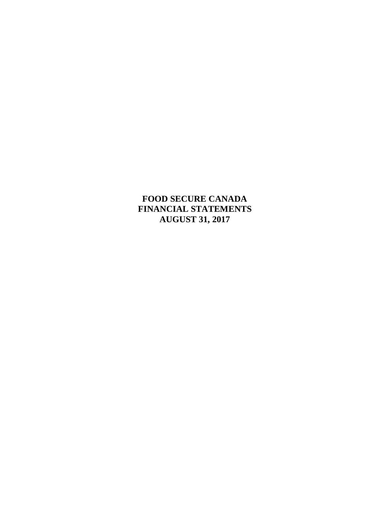**FOOD SECURE CANADA FINANCIAL STATEMENTS AUGUST 31, 2017**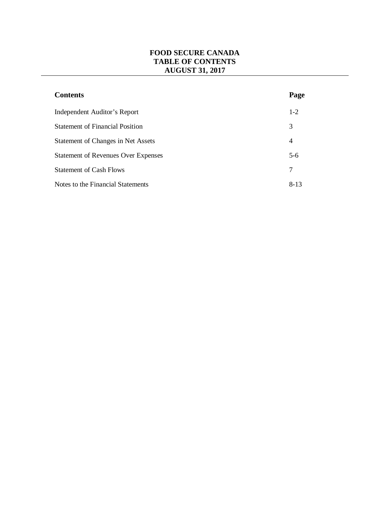# **FOOD SECURE CANADA TABLE OF CONTENTS AUGUST 31, 2017**

| <b>Contents</b>                            | Page           |
|--------------------------------------------|----------------|
| Independent Auditor's Report               | $1 - 2$        |
| <b>Statement of Financial Position</b>     | 3              |
| Statement of Changes in Net Assets         | $\overline{4}$ |
| <b>Statement of Revenues Over Expenses</b> | $5 - 6$        |
| <b>Statement of Cash Flows</b>             | 7              |
| Notes to the Financial Statements          | $8 - 13$       |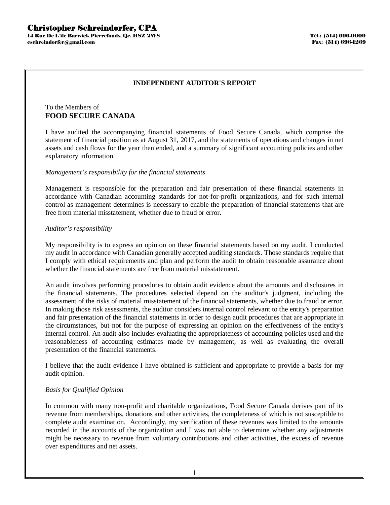# Christopher Schreindorfer, CPA

14 Rue De L'île Barwick Pierrefonds, Qc. HSZ 2WS<br>14 Center - Santo Carlos Control (f. 1969-1969)<br>16-Alexandro - Fax: (514) 696-1269  $\operatorname{eschreindorfer} @$ gmail.com

#### **INDEPENDENT AUDITOR'S REPORT**

# To the Members of **FOOD SECURE CANADA**

I have audited the accompanying financial statements of Food Secure Canada, which comprise the statement of financial position as at August 31, 2017, and the statements of operations and changes in net assets and cash flows for the year then ended, and a summary of significant accounting policies and other explanatory information.

#### *Management's responsibility for the financial statements*

Management is responsible for the preparation and fair presentation of these financial statements in accordance with Canadian accounting standards for not-for-profit organizations, and for such internal control as management determines is necessary to enable the preparation of financial statements that are free from material misstatement, whether due to fraud or error.

#### *Auditor's responsibility*

My responsibility is to express an opinion on these financial statements based on my audit. I conducted my audit in accordance with Canadian generally accepted auditing standards. Those standards require that I comply with ethical requirements and plan and perform the audit to obtain reasonable assurance about whether the financial statements are free from material misstatement.

An audit involves performing procedures to obtain audit evidence about the amounts and disclosures in the financial statements. The procedures selected depend on the auditor's judgment, including the assessment of the risks of material misstatement of the financial statements, whether due to fraud or error. In making those risk assessments, the auditor considers internal control relevant to the entity's preparation and fair presentation of the financial statements in order to design audit procedures that are appropriate in the circumstances, but not for the purpose of expressing an opinion on the effectiveness of the entity's internal control. An audit also includes evaluating the appropriateness of accounting policies used and the reasonableness of accounting estimates made by management, as well as evaluating the overall presentation of the financial statements.

I believe that the audit evidence I have obtained is sufficient and appropriate to provide a basis for my audit opinion.

#### *Basis for Qualified Opinion*

In common with many non-profit and charitable organizations, Food Secure Canada derives part of its revenue from memberships, donations and other activities, the completeness of which is not susceptible to complete audit examination. Accordingly, my verification of these revenues was limited to the amounts recorded in the accounts of the organization and I was not able to determine whether any adjustments might be necessary to revenue from voluntary contributions and other activities, the excess of revenue over expenditures and net assets.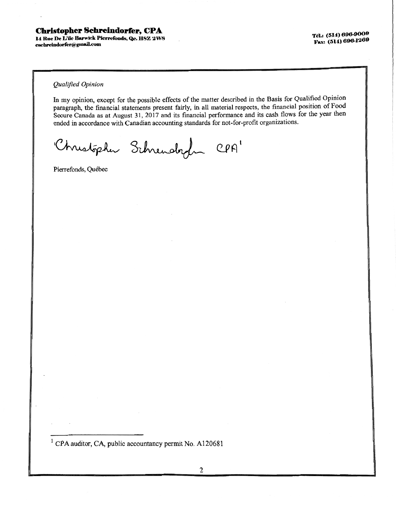# Christopher Schreindorfer, CPA

14 Rue De L'île Barwick Pierrefonds, Qc. HSZ 2WS cschreindorfer@gmail.com

Tél.: (514) 696-9009 Fax: (514) 696-1269

 $\mathcal{F}_{\text{H}\text{CC}}$ 

# Qualified Opinion

In my opinion, except for the possible effects of the matter described in the Basis for Qualified Opinion paragraph, the financial statements present fairly, in all material respects, the financial position of Food Secure Canada as at August 31, 2017 and its financial performance and its cash flows for the year then ended in accordance with Canadian accounting standards for not-for-profit organizations.

Christophe Schrendrich CPA

Pierrefonds, Québec



 $<sup>1</sup>$  CPA auditor, CA, public accountancy permit No. A120681</sup>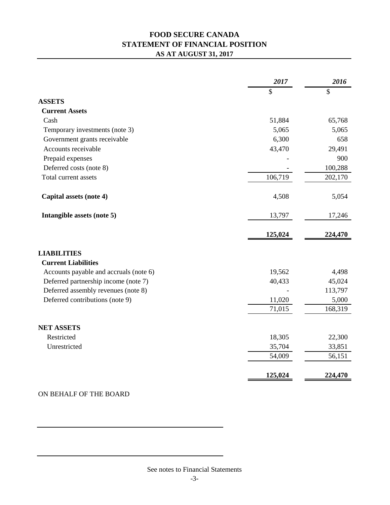# **FOOD SECURE CANADA STATEMENT OF FINANCIAL POSITION AS AT AUGUST 31, 2017**

|                                        | 2017    | 2016    |
|----------------------------------------|---------|---------|
|                                        | \$      | \$      |
| <b>ASSETS</b>                          |         |         |
| <b>Current Assets</b>                  |         |         |
| Cash                                   | 51,884  | 65,768  |
| Temporary investments (note 3)         | 5,065   | 5,065   |
| Government grants receivable           | 6,300   | 658     |
| Accounts receivable                    | 43,470  | 29,491  |
| Prepaid expenses                       |         | 900     |
| Deferred costs (note 8)                |         | 100,288 |
| Total current assets                   | 106,719 | 202,170 |
| Capital assets (note 4)                | 4,508   | 5,054   |
| Intangible assets (note 5)             | 13,797  | 17,246  |
|                                        | 125,024 | 224,470 |
| <b>LIABILITIES</b>                     |         |         |
| <b>Current Liabilities</b>             |         |         |
| Accounts payable and accruals (note 6) | 19,562  | 4,498   |
| Deferred partnership income (note 7)   | 40,433  | 45,024  |
| Deferred assembly revenues (note 8)    |         | 113,797 |
| Deferred contributions (note 9)        | 11,020  | 5,000   |
|                                        | 71,015  | 168,319 |
| <b>NET ASSETS</b>                      |         |         |
| Restricted                             | 18,305  | 22,300  |
| Unrestricted                           | 35,704  | 33,851  |
|                                        | 54,009  | 56,151  |
|                                        | 125,024 | 224,470 |

ON BEHALF OF THE BOARD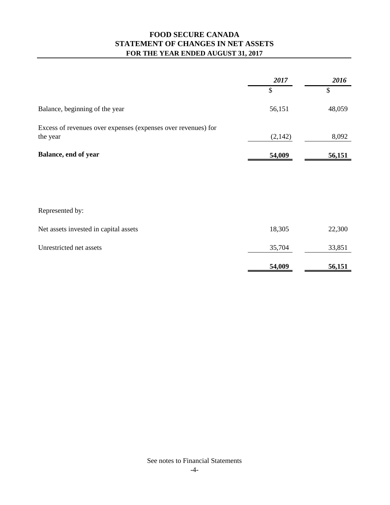# **FOOD SECURE CANADA STATEMENT OF CHANGES IN NET ASSETS FOR THE YEAR ENDED AUGUST 31, 2017**

|                                                                           | 2017    | 2016   |
|---------------------------------------------------------------------------|---------|--------|
|                                                                           | \$      | \$     |
| Balance, beginning of the year                                            | 56,151  | 48,059 |
| Excess of revenues over expenses (expenses over revenues) for<br>the year | (2,142) | 8,092  |
| Balance, end of year                                                      | 54,009  | 56,151 |
|                                                                           |         |        |
|                                                                           |         |        |
| Represented by:                                                           |         |        |
| Net assets invested in capital assets                                     | 18,305  | 22,300 |
| Unrestricted net assets                                                   | 35,704  | 33,851 |
|                                                                           | 54,009  | 56,151 |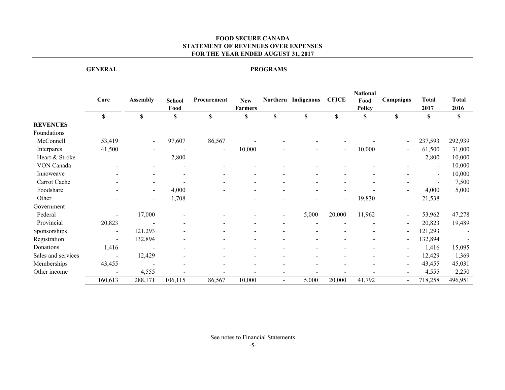#### **FOOD SECURE CANADA STATEMENT OF REVENUES OVER EXPENSESFOR THE YEAR ENDED AUGUST 31, 2017**

|                    | <b>GENERAL</b> | <b>PROGRAMS</b>          |                          |                |                              |                |                     |                |                                   |                          |                      |                      |
|--------------------|----------------|--------------------------|--------------------------|----------------|------------------------------|----------------|---------------------|----------------|-----------------------------------|--------------------------|----------------------|----------------------|
|                    | Core           | <b>Assembly</b>          | <b>School</b><br>Food    | Procurement    | <b>New</b><br><b>Farmers</b> |                | Northern Indigenous | <b>CFICE</b>   | <b>National</b><br>Food<br>Policy | Campaigns                | <b>Total</b><br>2017 | <b>Total</b><br>2016 |
|                    | \$             | \$                       | \$                       | \$             | \$                           | \$             | \$                  | \$             | \$                                | $\mathbf S$              | $\mathbb S$          | \$                   |
| <b>REVENUES</b>    |                |                          |                          |                |                              |                |                     |                |                                   |                          |                      |                      |
| Foundations        |                |                          |                          |                |                              |                |                     |                |                                   |                          |                      |                      |
| McConnell          | 53,419         | $\blacksquare$           | 97,607                   | 86,567         |                              |                |                     |                |                                   |                          | 237,593              | 292,939              |
| Interpares         | 41,500         |                          |                          | $\blacksquare$ | 10,000                       |                |                     | $\sim$         | 10,000                            |                          | 61,500               | 31,000               |
| Heart & Stroke     |                |                          | 2,800                    |                |                              |                |                     |                |                                   |                          | 2,800                | 10,000               |
| VON Canada         |                |                          | $\overline{\phantom{a}}$ |                |                              |                |                     |                |                                   |                          | $\blacksquare$       | 10,000               |
| Innoweave          |                |                          |                          |                |                              |                |                     |                |                                   |                          | $\blacksquare$       | 10,000               |
| Carrot Cache       |                |                          |                          |                |                              |                |                     |                |                                   |                          |                      | 7,500                |
| Foodshare          |                | $\overline{\phantom{a}}$ | 4,000                    |                |                              |                |                     |                |                                   | $\overline{\phantom{a}}$ | 4,000                | 5,000                |
| Other              |                | $\blacksquare$           | 1,708                    |                |                              |                |                     | $\blacksquare$ | 19,830                            | $\overline{\phantom{a}}$ | 21,538               |                      |
| Government         |                |                          |                          |                |                              |                |                     |                |                                   |                          |                      |                      |
| Federal            |                | 17,000                   |                          |                |                              |                | 5,000               | 20,000         | 11,962                            | $\overline{\phantom{a}}$ | 53,962               | 47,278               |
| Provincial         | 20,823         |                          |                          |                |                              |                |                     |                |                                   | $\overline{\phantom{a}}$ | 20,823               | 19,489               |
| Sponsorships       | $\blacksquare$ | 121,293                  |                          |                |                              |                |                     |                |                                   | $\overline{\phantom{a}}$ | 121,293              | $\blacksquare$       |
| Registration       | $\blacksquare$ | 132,894                  |                          |                |                              |                |                     |                |                                   | $\overline{a}$           | 132,894              |                      |
| Donations          | 1,416          | $\overline{\phantom{a}}$ |                          |                |                              |                |                     |                |                                   | $\overline{\phantom{a}}$ | 1,416                | 15,095               |
| Sales and services |                | 12,429                   |                          |                |                              |                |                     |                |                                   | $\overline{\phantom{a}}$ | 12,429               | 1,369                |
| Memberships        | 43,455         |                          |                          |                |                              |                |                     |                |                                   | $\blacksquare$           | 43,455               | 45,031               |
| Other income       |                | 4,555                    |                          |                |                              |                |                     |                |                                   | -                        | 4,555                | 2,250                |
|                    | 160,613        | 288,171                  | 106,115                  | 86,567         | 10,000                       | $\blacksquare$ | 5,000               | 20,000         | 41,792                            | $\overline{\phantom{a}}$ | 718,258              | 496,951              |

See notes to Financial Statements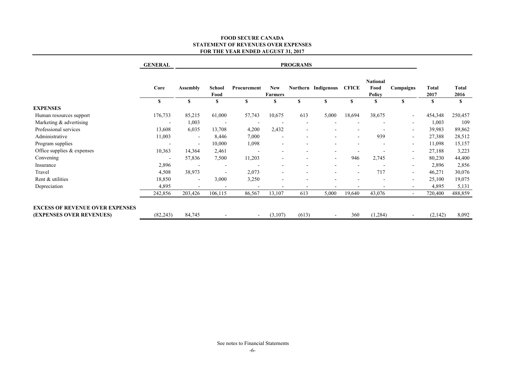#### **FOOD SECURE CANADA STATEMENT OF REVENUES OVER EXPENSESFOR THE YEAR ENDED AUGUST 31, 2017**

|                                        | <b>PROGRAMS</b><br><b>GENERAL</b> |                          |                       |                          |                              |       |                          |                          |                                          |           |                      |                      |
|----------------------------------------|-----------------------------------|--------------------------|-----------------------|--------------------------|------------------------------|-------|--------------------------|--------------------------|------------------------------------------|-----------|----------------------|----------------------|
|                                        | Core                              | <b>Assembly</b>          | <b>School</b><br>Food | Procurement              | <b>New</b><br><b>Farmers</b> |       | Northern Indigenous      | <b>CFICE</b>             | <b>National</b><br>Food<br><b>Policy</b> | Campaigns | <b>Total</b><br>2017 | <b>Total</b><br>2016 |
|                                        | \$                                | $\mathbf{s}$             | S                     | S                        | S                            | S     | \$                       | S                        | S                                        | S         | S                    |                      |
| <b>EXPENSES</b>                        |                                   |                          |                       |                          |                              |       |                          |                          |                                          |           |                      |                      |
| Human resources support                | 176,733                           | 85,215                   | 61,000                | 57,743                   | 10,675                       | 613   | 5,000                    | 18,694                   | 38,675                                   |           | 454,348              | 250,457              |
| Marketing & advertising                | $\overline{\phantom{a}}$          | 1,003                    |                       | $\overline{\phantom{a}}$ |                              |       |                          |                          |                                          | $\sim$    | 1,003                | 109                  |
| Professional services                  | 13,608                            | 6,035                    | 13,708                | 4,200                    | 2,432                        |       |                          |                          |                                          | $\sim$    | 39,983               | 89,862               |
| Administrative                         | 11,003                            | $\overline{\phantom{a}}$ | 8,446                 | 7,000                    | $\overline{\phantom{a}}$     |       |                          | $\overline{\phantom{0}}$ | 939                                      | $\sim$    | 27,388               | 28,512               |
| Program supplies                       |                                   | $\overline{\phantom{a}}$ | 10,000                | 1,098                    | $\overline{\phantom{a}}$     |       |                          |                          |                                          | $\sim$    | 11,098               | 15,157               |
| Office supplies $&$ expenses           | 10,363                            | 14,364                   | 2,461                 |                          |                              |       |                          |                          |                                          | $\sim$    | 27,188               | 3,223                |
| Convening                              |                                   | 57,836                   | 7,500                 | 11,203                   |                              |       | $\overline{\phantom{a}}$ | 946                      | 2,745                                    |           | 80,230               | 44,400               |
| Insurance                              | 2,896                             |                          |                       |                          |                              |       |                          |                          |                                          | $\sim$    | 2,896                | 2,856                |
| Travel                                 | 4,508                             | 38,973                   |                       | 2,073                    | $\overline{\phantom{a}}$     |       |                          | $\blacksquare$           | 717                                      | $\sim$    | 46,271               | 30,076               |
| Rent & utilities                       | 18,850                            | $\overline{\phantom{a}}$ | 3,000                 | 3,250                    |                              |       |                          |                          |                                          |           | 25,100               | 19,075               |
| Depreciation                           | 4,895                             |                          |                       | $\overline{\phantom{a}}$ |                              |       |                          |                          |                                          |           | 4,895                | 5,131                |
|                                        | 242,856                           | 203,426                  | 106,115               | 86,567                   | 13,107                       | 613   | 5,000                    | 19,640                   | 43,076                                   |           | 720,400              | 488,859              |
| <b>EXCESS OF REVENUE OVER EXPENSES</b> |                                   |                          |                       |                          |                              |       |                          |                          |                                          |           |                      |                      |
| (EXPENSES OVER REVENUES)               | (82, 243)                         | 84,745                   |                       | ۰                        | (3,107)                      | (613) |                          | 360                      | (1, 284)                                 |           | (2,142)              | 8,092                |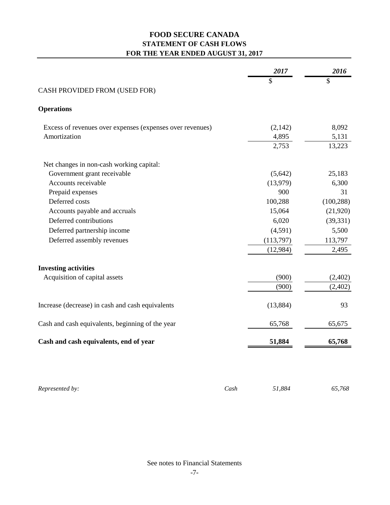# **FOOD SECURE CANADA STATEMENT OF CASH FLOWS FOR THE YEAR ENDED AUGUST 31, 2017**

|                                                           |      | 2017      | 2016       |
|-----------------------------------------------------------|------|-----------|------------|
|                                                           |      | \$        | \$         |
| CASH PROVIDED FROM (USED FOR)                             |      |           |            |
| <b>Operations</b>                                         |      |           |            |
| Excess of revenues over expenses (expenses over revenues) |      | (2,142)   | 8,092      |
| Amortization                                              |      | 4,895     | 5,131      |
|                                                           |      | 2,753     | 13,223     |
| Net changes in non-cash working capital:                  |      |           |            |
| Government grant receivable                               |      | (5,642)   | 25,183     |
| Accounts receivable                                       |      | (13,979)  | 6,300      |
| Prepaid expenses                                          |      | 900       | 31         |
| Deferred costs                                            |      | 100,288   | (100, 288) |
| Accounts payable and accruals                             |      | 15,064    | (21,920)   |
| Deferred contributions                                    |      | 6,020     | (39, 331)  |
| Deferred partnership income                               |      | (4,591)   | 5,500      |
| Deferred assembly revenues                                |      | (113,797) | 113,797    |
|                                                           |      | (12,984)  | 2,495      |
| <b>Investing activities</b>                               |      |           |            |
| Acquisition of capital assets                             |      | (900)     | (2,402)    |
|                                                           |      | (900)     | (2,402)    |
| Increase (decrease) in cash and cash equivalents          |      | (13,884)  | 93         |
| Cash and cash equivalents, beginning of the year          |      | 65,768    | 65,675     |
| Cash and cash equivalents, end of year                    |      | 51,884    | 65,768     |
|                                                           |      |           |            |
| Represented by:                                           | Cash | 51,884    | 65,768     |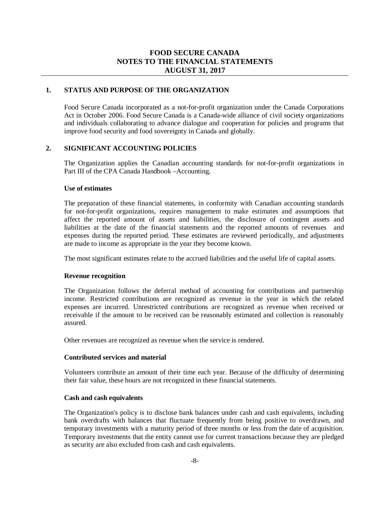#### **1. STATUS AND PURPOSE OF THE ORGANIZATION**

Food Secure Canada incorporated as a not-for-profit organization under the Canada Corporations Act in October 2006. Food Secure Canada is a Canada-wide alliance of civil society organizations and individuals collaborating to advance dialogue and cooperation for policies and programs that improve food security and food sovereignty in Canada and globally.

#### **2. SIGNIFICANT ACCOUNTING POLICIES**

The Organization applies the Canadian accounting standards for not-for-profit organizations in Part III of the CPA Canada Handbook –Accounting.

#### **Use of estimates**

The preparation of these financial statements, in conformity with Canadian accounting standards for not-for-profit organizations, requires management to make estimates and assumptions that affect the reported amount of assets and liabilities, the disclosure of contingent assets and liabilities at the date of the financial statements and the reported amounts of revenues and expenses during the reported period. These estimates are reviewed periodically, and adjustments are made to income as appropriate in the year they become known.

The most significant estimates relate to the accrued liabilities and the useful life of capital assets.

#### **Revenue recognition**

The Organization follows the deferral method of accounting for contributions and partnership income. Restricted contributions are recognized as revenue in the year in which the related expenses are incurred. Unrestricted contributions are recognized as revenue when received or receivable if the amount to be received can be reasonably estimated and collection is reasonably assured.

Other revenues are recognized as revenue when the service is rendered.

#### **Contributed services and material**

Volunteers contribute an amount of their time each year. Because of the difficulty of determining their fair value, these hours are not recognized in these financial statements.

#### **Cash and cash equivalents**

The Organization's policy is to disclose bank balances under cash and cash equivalents, including bank overdrafts with balances that fluctuate frequently from being positive to overdrawn, and temporary investments with a maturity period of three months or less from the date of acquisition. Temporary investments that the entity cannot use for current transactions because they are pledged as security are also excluded from cash and cash equivalents.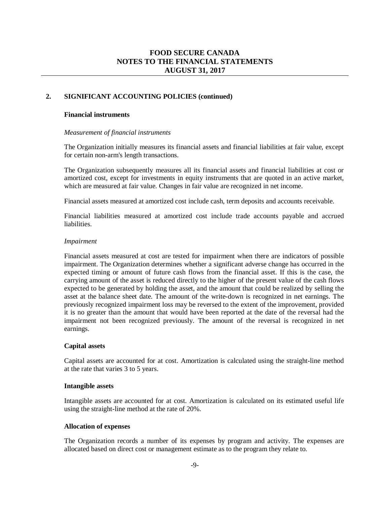#### **2. SIGNIFICANT ACCOUNTING POLICIES (continued)**

#### **Financial instruments**

#### *Measurement of financial instruments*

The Organization initially measures its financial assets and financial liabilities at fair value, except for certain non-arm's length transactions.

The Organization subsequently measures all its financial assets and financial liabilities at cost or amortized cost, except for investments in equity instruments that are quoted in an active market, which are measured at fair value. Changes in fair value are recognized in net income.

Financial assets measured at amortized cost include cash, term deposits and accounts receivable.

Financial liabilities measured at amortized cost include trade accounts payable and accrued liabilities.

#### *Impairment*

Financial assets measured at cost are tested for impairment when there are indicators of possible impairment. The Organization determines whether a significant adverse change has occurred in the expected timing or amount of future cash flows from the financial asset. If this is the case, the carrying amount of the asset is reduced directly to the higher of the present value of the cash flows expected to be generated by holding the asset, and the amount that could be realized by selling the asset at the balance sheet date. The amount of the write-down is recognized in net earnings. The previously recognized impairment loss may be reversed to the extent of the improvement, provided it is no greater than the amount that would have been reported at the date of the reversal had the impairment not been recognized previously. The amount of the reversal is recognized in net earnings.

#### **Capital assets**

Capital assets are accounted for at cost. Amortization is calculated using the straight-line method at the rate that varies 3 to 5 years.

#### **Intangible assets**

Intangible assets are accounted for at cost. Amortization is calculated on its estimated useful life using the straight-line method at the rate of 20%.

#### **Allocation of expenses**

The Organization records a number of its expenses by program and activity. The expenses are allocated based on direct cost or management estimate as to the program they relate to.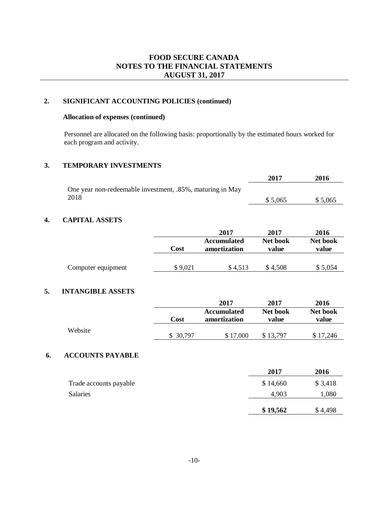# **2. SIGNIFICANT ACCOUNTING POLICIES (continued)**

#### **Allocation of expenses (continued)**

Personnel are allocated on the following basis: proportionally by the estimated hours worked for each program and activity.

#### **3. TEMPORARY INVESTMENTS**

|                                                           | 2017    | 2016    |
|-----------------------------------------------------------|---------|---------|
| One year non-redeemable investment, .85%, maturing in May |         |         |
| 2018                                                      | \$5,065 | \$5,065 |

#### **4. CAPITAL ASSETS**

|                    |         | 2017                               | 2017              | 2016              |
|--------------------|---------|------------------------------------|-------------------|-------------------|
|                    | Cost    | <b>Accumulated</b><br>amortization | Net book<br>value | Net book<br>value |
| Computer equipment | \$9,021 | \$4,513                            | \$4.508           | \$5,054           |

#### **5. INTANGIBLE ASSETS**

|         |          | 2017                               | 2017              | 2016              |
|---------|----------|------------------------------------|-------------------|-------------------|
|         | Cost     | <b>Accumulated</b><br>amortization | Net book<br>value | Net book<br>value |
| Website | \$30,797 | \$17,000                           | \$13,797          | \$17.246          |

#### **6. ACCOUNTS PAYABLE**

|                        | 2017     | 2016    |
|------------------------|----------|---------|
| Trade accounts payable | \$14,660 | \$3,418 |
| Salaries               | 4,903    | 1,080   |
|                        | \$19,562 | \$4,498 |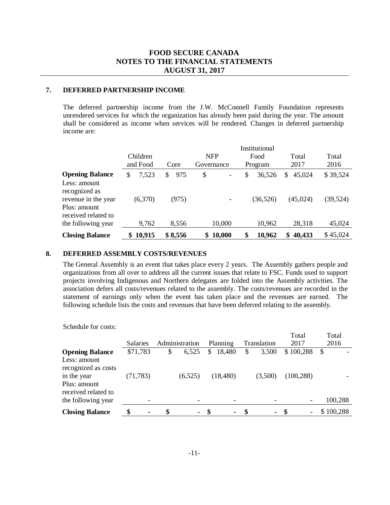#### **7. DEFERRED PARTNERSHIP INCOME**

The deferred partnership income from the J.W. McConnell Family Foundation represents unrendered services for which the organization has already been paid during the year. The amount shall be considered as income when services will be rendered. Changes in deferred partnership income are:

|                                                      |            |          |                          | Institutional |              |           |
|------------------------------------------------------|------------|----------|--------------------------|---------------|--------------|-----------|
|                                                      | Children   |          | <b>NFP</b>               | Food          | Total        | Total     |
|                                                      | and Food   | Core     | Governance               | Program       | 2017         | 2016      |
| <b>Opening Balance</b>                               | 7,523<br>S | 975<br>S | \$<br>-                  | \$<br>36,526  | 45,024<br>\$ | \$39,524  |
| Less: amount<br>recognized as<br>revenue in the year | (6,370)    | (975)    | $\overline{\phantom{0}}$ | (36, 526)     | (45, 024)    | (39, 524) |
| Plus: amount<br>received related to                  |            |          |                          |               |              |           |
| the following year                                   | 9,762      | 8,556    | 10,000                   | 10,962        | 28,318       | 45,024    |
| <b>Closing Balance</b>                               | \$10,915   | \$8,556  | 10,000<br>\$             | \$<br>10,962  | 40,433<br>\$ | \$45,024  |

#### **8. DEFERRED ASSEMBLY COSTS/REVENUES**

The General Assembly is an event that takes place every 2 years. The Assembly gathers people and organizations from all over to address all the current issues that relate to FSC. Funds used to support projects involving Indigenous and Northern delegates are folded into the Assembly activities. The association defers all costs/revenues related to the assembly. The costs/revenues are recorded in the statement of earnings only when the event has taken place and the revenues are earned. The following schedule lists the costs and revenues that have been deferred relating to the assembly.

Schedule for costs:

|                                                               |                 |    |                |              |    |             | Total      | Total     |
|---------------------------------------------------------------|-----------------|----|----------------|--------------|----|-------------|------------|-----------|
|                                                               | <b>Salaries</b> |    | Administration | Planning     |    | Translation | 2017       | 2016      |
| <b>Opening Balance</b><br>Less: amount<br>recognized as costs | \$71,783        | S  | 6,525          | 18,480<br>\$ | \$ | 3,500       | \$100,288  | \$        |
| in the year<br>Plus: amount<br>received related to            | (71, 783)       |    | (6,525)        | (18, 480)    |    | (3,500)     | (100, 288) |           |
| the following year                                            |                 |    |                |              |    |             |            | 100,288   |
| <b>Closing Balance</b>                                        | ۰               | \$ | ۰.             | - \$<br>۰    | S  | ۰.          | -S<br>۰    | \$100,288 |

Total

 $\overline{a}$   $\overline{a}$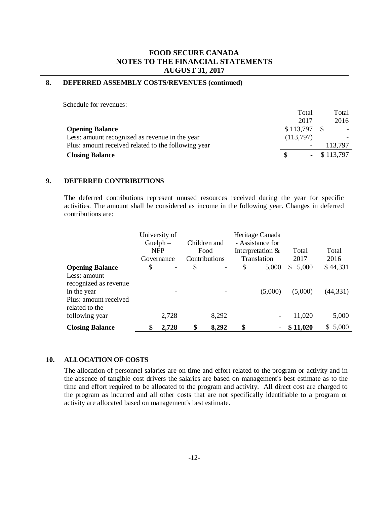#### **8. DEFERRED ASSEMBLY COSTS/REVENUES (continued)**

Schedule for revenues:

| Total          | Total     |
|----------------|-----------|
| 2017           | 2016      |
| \$113,797      |           |
| (113,797)      |           |
|                | 113,797   |
| $\blacksquare$ | \$113,797 |
|                |           |

#### **9. DEFERRED CONTRIBUTIONS**

The deferred contributions represent unused resources received during the year for specific activities. The amount shall be considered as income in the following year. Changes in deferred contributions are:

|                                                                               | University of           |                          |                      |                              | Heritage Canada                      |         |            |           |
|-------------------------------------------------------------------------------|-------------------------|--------------------------|----------------------|------------------------------|--------------------------------------|---------|------------|-----------|
|                                                                               | $Guelph-$<br><b>NFP</b> |                          | Children and<br>Food |                              | - Assistance for<br>Interpretation & |         | Total      | Total     |
|                                                                               |                         |                          |                      |                              |                                      |         |            |           |
|                                                                               |                         | Governance               |                      | Translation<br>Contributions |                                      | 2017    | 2016       |           |
| <b>Opening Balance</b>                                                        | \$                      | $\overline{\phantom{a}}$ |                      |                              | \$                                   | 5,000   | 5,000<br>S | \$44,331  |
| Less: amount<br>recognized as revenue<br>in the year<br>Plus: amount received |                         |                          |                      |                              |                                      | (5,000) | (5,000)    | (44, 331) |
| related to the<br>following year                                              |                         | 2,728                    |                      | 8,292                        |                                      |         | 11,020     | 5,000     |
| <b>Closing Balance</b>                                                        | \$                      | 2,728                    | \$                   | 8,292                        | \$                                   |         | \$11,020   | \$5,000   |

#### **10. ALLOCATION OF COSTS**

The allocation of personnel salaries are on time and effort related to the program or activity and in the absence of tangible cost drivers the salaries are based on management's best estimate as to the time and effort required to be allocated to the program and activity. All direct cost are charged to the program as incurred and all other costs that are not specifically identifiable to a program or activity are allocated based on management's best estimate.